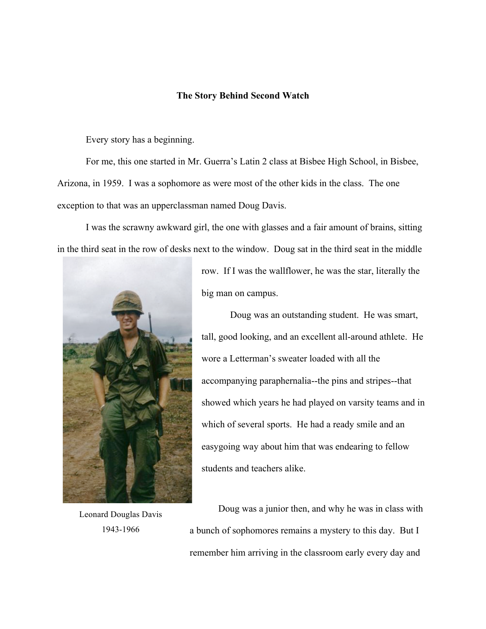## **The Story Behind Second Watch**

Every story has a beginning.

 For me, this one started in Mr. Guerra's Latin 2 class at Bisbee High School, in Bisbee, Arizona, in 1959. I was a sophomore as were most of the other kids in the class. The one exception to that was an upperclassman named Doug Davis.

 I was the scrawny awkward girl, the one with glasses and a fair amount of brains, sitting in the third seat in the row of desks next to the window. Doug sat in the third seat in the middle



Leonard Douglas Davis 1943-1966

row. If I was the wallflower, he was the star, literally the big man on campus.

 Doug was an outstanding student. He was smart, tall, good looking, and an excellent all-around athlete. He wore a Letterman's sweater loaded with all the accompanying paraphernalia--the pins and stripes--that showed which years he had played on varsity teams and in which of several sports. He had a ready smile and an easygoing way about him that was endearing to fellow students and teachers alike.

 Doug was a junior then, and why he was in class with a bunch of sophomores remains a mystery to this day. But I remember him arriving in the classroom early every day and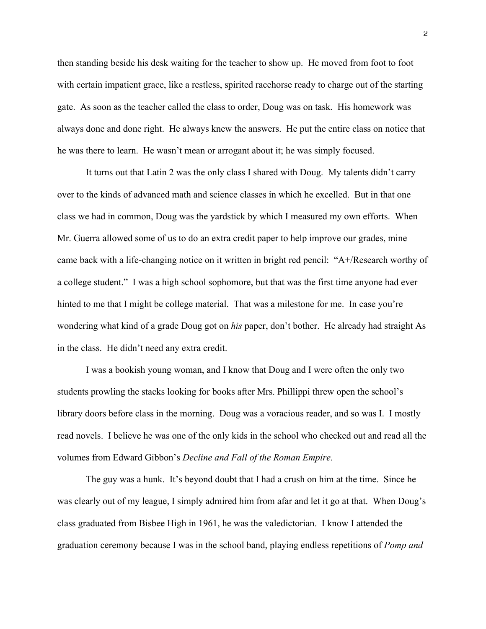then standing beside his desk waiting for the teacher to show up. He moved from foot to foot with certain impatient grace, like a restless, spirited racehorse ready to charge out of the starting gate. As soon as the teacher called the class to order, Doug was on task. His homework was always done and done right. He always knew the answers. He put the entire class on notice that he was there to learn. He wasn't mean or arrogant about it; he was simply focused.

 It turns out that Latin 2 was the only class I shared with Doug. My talents didn't carry over to the kinds of advanced math and science classes in which he excelled. But in that one class we had in common, Doug was the yardstick by which I measured my own efforts. When Mr. Guerra allowed some of us to do an extra credit paper to help improve our grades, mine came back with a life-changing notice on it written in bright red pencil: "A+/Research worthy of a college student." I was a high school sophomore, but that was the first time anyone had ever hinted to me that I might be college material. That was a milestone for me. In case you're wondering what kind of a grade Doug got on *his* paper, don't bother. He already had straight As in the class. He didn't need any extra credit.

 I was a bookish young woman, and I know that Doug and I were often the only two students prowling the stacks looking for books after Mrs. Phillippi threw open the school's library doors before class in the morning. Doug was a voracious reader, and so was I. I mostly read novels. I believe he was one of the only kids in the school who checked out and read all the volumes from Edward Gibbon's *Decline and Fall of the Roman Empire.*

 The guy was a hunk. It's beyond doubt that I had a crush on him at the time. Since he was clearly out of my league, I simply admired him from afar and let it go at that. When Doug's class graduated from Bisbee High in 1961, he was the valedictorian. I know I attended the graduation ceremony because I was in the school band, playing endless repetitions of *Pomp and*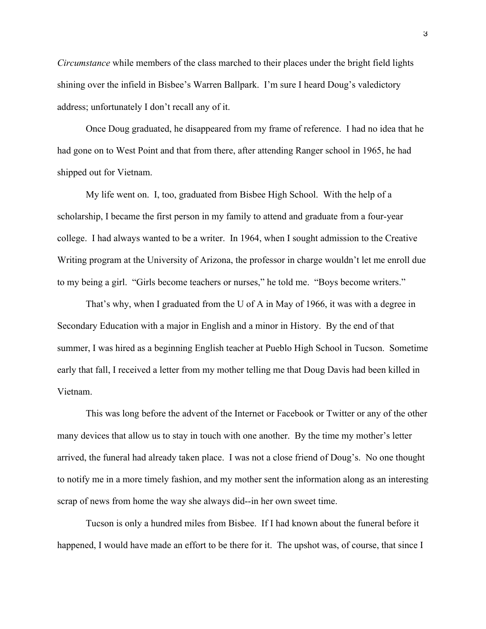*Circumstance* while members of the class marched to their places under the bright field lights shining over the infield in Bisbee's Warren Ballpark. I'm sure I heard Doug's valedictory address; unfortunately I don't recall any of it.

 Once Doug graduated, he disappeared from my frame of reference. I had no idea that he had gone on to West Point and that from there, after attending Ranger school in 1965, he had shipped out for Vietnam.

 My life went on. I, too, graduated from Bisbee High School. With the help of a scholarship, I became the first person in my family to attend and graduate from a four-year college. I had always wanted to be a writer. In 1964, when I sought admission to the Creative Writing program at the University of Arizona, the professor in charge wouldn't let me enroll due to my being a girl. "Girls become teachers or nurses," he told me. "Boys become writers."

 That's why, when I graduated from the U of A in May of 1966, it was with a degree in Secondary Education with a major in English and a minor in History. By the end of that summer, I was hired as a beginning English teacher at Pueblo High School in Tucson. Sometime early that fall, I received a letter from my mother telling me that Doug Davis had been killed in Vietnam.

 This was long before the advent of the Internet or Facebook or Twitter or any of the other many devices that allow us to stay in touch with one another. By the time my mother's letter arrived, the funeral had already taken place. I was not a close friend of Doug's. No one thought to notify me in a more timely fashion, and my mother sent the information along as an interesting scrap of news from home the way she always did--in her own sweet time.

 Tucson is only a hundred miles from Bisbee. If I had known about the funeral before it happened, I would have made an effort to be there for it. The upshot was, of course, that since I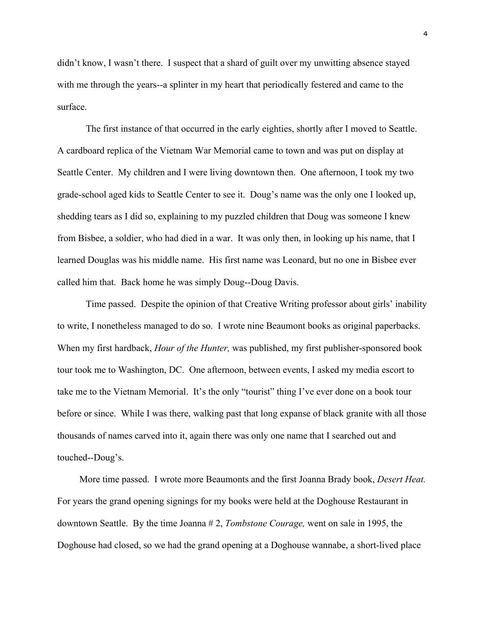didn't know, I wasn't there. I suspect that a shard of guilt over my unwitting absence stayed with me through the years--a splinter in my heart that periodically festered and came to the surface.

 The first instance of that occurred in the early eighties, shortly after I moved to Seattle. A cardboard replica of the Vietnam War Memorial came to town and was put on display at Seattle Center. My children and I were living downtown then. One afternoon, I took my two grade-school aged kids to Seattle Center to see it. Doug's name was the only one I looked up, shedding tears as I did so, explaining to my puzzled children that Doug was someone I knew from Bisbee, a soldier, who had died in a war. It was only then, in looking up his name, that I learned Douglas was his middle name. His first name was Leonard, but no one in Bisbee ever called him that. Back home he was simply Doug--Doug Davis.

 Time passed. Despite the opinion of that Creative Writing professor about girls' inability to write, I nonetheless managed to do so. I wrote nine Beaumont books as original paperbacks. When my first hardback, *Hour of the Hunter,* was published, my first publisher-sponsored book tour took me to Washington, DC. One afternoon, between events, I asked my media escort to take me to the Vietnam Memorial. It's the only "tourist" thing I've ever done on a book tour before or since. While I was there, walking past that long expanse of black granite with all those thousands of names carved into it, again there was only one name that I searched out and touched--Doug's.

 More time passed. I wrote more Beaumonts and the first Joanna Brady book, *Desert Heat.*  For years the grand opening signings for my books were held at the Doghouse Restaurant in downtown Seattle. By the time Joanna # 2, *Tombstone Courage,* went on sale in 1995, the Doghouse had closed, so we had the grand opening at a Doghouse wannabe, a short-lived place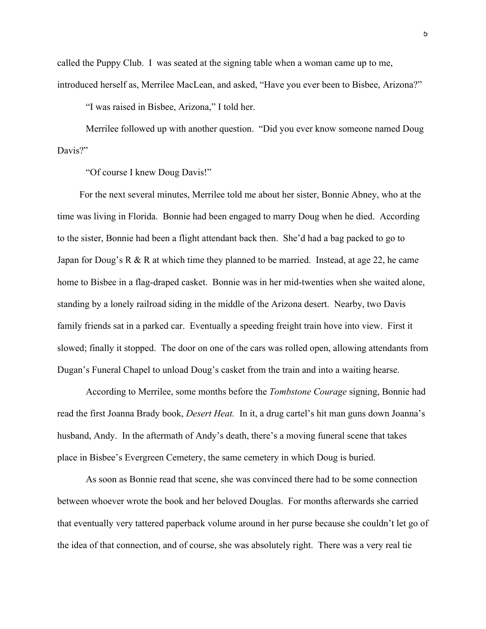called the Puppy Club. I was seated at the signing table when a woman came up to me, introduced herself as, Merrilee MacLean, and asked, "Have you ever been to Bisbee, Arizona?"

"I was raised in Bisbee, Arizona," I told her.

 Merrilee followed up with another question. "Did you ever know someone named Doug Davis?"

"Of course I knew Doug Davis!"

 For the next several minutes, Merrilee told me about her sister, Bonnie Abney, who at the time was living in Florida. Bonnie had been engaged to marry Doug when he died. According to the sister, Bonnie had been a flight attendant back then. She'd had a bag packed to go to Japan for Doug's R & R at which time they planned to be married. Instead, at age 22, he came home to Bisbee in a flag-draped casket. Bonnie was in her mid-twenties when she waited alone, standing by a lonely railroad siding in the middle of the Arizona desert. Nearby, two Davis family friends sat in a parked car. Eventually a speeding freight train hove into view. First it slowed; finally it stopped. The door on one of the cars was rolled open, allowing attendants from Dugan's Funeral Chapel to unload Doug's casket from the train and into a waiting hearse.

 According to Merrilee, some months before the *Tombstone Courage* signing, Bonnie had read the first Joanna Brady book, *Desert Heat.* In it, a drug cartel's hit man guns down Joanna's husband, Andy. In the aftermath of Andy's death, there's a moving funeral scene that takes place in Bisbee's Evergreen Cemetery, the same cemetery in which Doug is buried.

 As soon as Bonnie read that scene, she was convinced there had to be some connection between whoever wrote the book and her beloved Douglas. For months afterwards she carried that eventually very tattered paperback volume around in her purse because she couldn't let go of the idea of that connection, and of course, she was absolutely right. There was a very real tie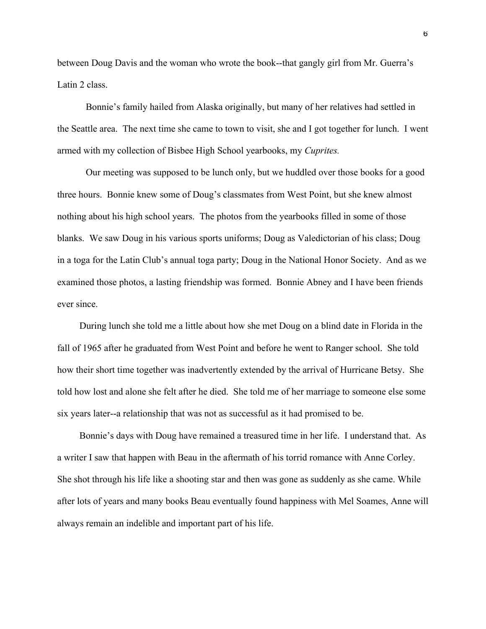between Doug Davis and the woman who wrote the book--that gangly girl from Mr. Guerra's Latin 2 class.

 Bonnie's family hailed from Alaska originally, but many of her relatives had settled in the Seattle area. The next time she came to town to visit, she and I got together for lunch. I went armed with my collection of Bisbee High School yearbooks, my *Cuprites.* 

Our meeting was supposed to be lunch only, but we huddled over those books for a good three hours. Bonnie knew some of Doug's classmates from West Point, but she knew almost nothing about his high school years. The photos from the yearbooks filled in some of those blanks. We saw Doug in his various sports uniforms; Doug as Valedictorian of his class; Doug in a toga for the Latin Club's annual toga party; Doug in the National Honor Society. And as we examined those photos, a lasting friendship was formed. Bonnie Abney and I have been friends ever since.

 During lunch she told me a little about how she met Doug on a blind date in Florida in the fall of 1965 after he graduated from West Point and before he went to Ranger school. She told how their short time together was inadvertently extended by the arrival of Hurricane Betsy. She told how lost and alone she felt after he died. She told me of her marriage to someone else some six years later--a relationship that was not as successful as it had promised to be.

 Bonnie's days with Doug have remained a treasured time in her life. I understand that. As a writer I saw that happen with Beau in the aftermath of his torrid romance with Anne Corley. She shot through his life like a shooting star and then was gone as suddenly as she came. While after lots of years and many books Beau eventually found happiness with Mel Soames, Anne will always remain an indelible and important part of his life.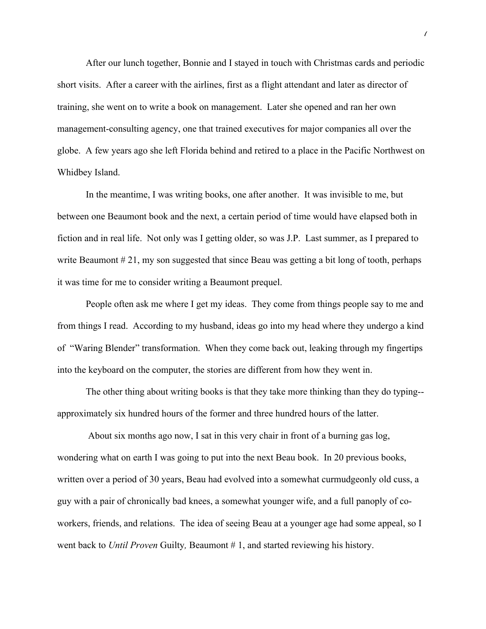After our lunch together, Bonnie and I stayed in touch with Christmas cards and periodic short visits. After a career with the airlines, first as a flight attendant and later as director of training, she went on to write a book on management. Later she opened and ran her own management-consulting agency, one that trained executives for major companies all over the globe. A few years ago she left Florida behind and retired to a place in the Pacific Northwest on Whidbey Island.

 In the meantime, I was writing books, one after another. It was invisible to me, but between one Beaumont book and the next, a certain period of time would have elapsed both in fiction and in real life. Not only was I getting older, so was J.P. Last summer, as I prepared to write Beaumont  $#21$ , my son suggested that since Beau was getting a bit long of tooth, perhaps it was time for me to consider writing a Beaumont prequel.

 People often ask me where I get my ideas. They come from things people say to me and from things I read. According to my husband, ideas go into my head where they undergo a kind of "Waring Blender" transformation. When they come back out, leaking through my fingertips into the keyboard on the computer, the stories are different from how they went in.

 The other thing about writing books is that they take more thinking than they do typing- approximately six hundred hours of the former and three hundred hours of the latter.

 About six months ago now, I sat in this very chair in front of a burning gas log, wondering what on earth I was going to put into the next Beau book. In 20 previous books, written over a period of 30 years, Beau had evolved into a somewhat curmudgeonly old cuss, a guy with a pair of chronically bad knees, a somewhat younger wife, and a full panoply of coworkers, friends, and relations. The idea of seeing Beau at a younger age had some appeal, so I went back to *Until Proven* Guilty*,* Beaumont # 1, and started reviewing his history.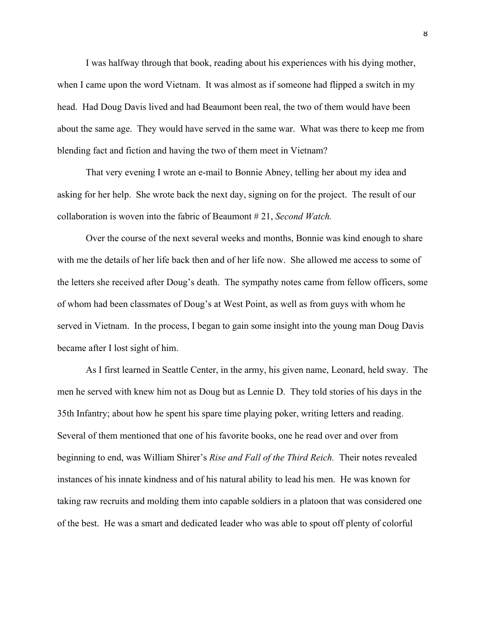I was halfway through that book, reading about his experiences with his dying mother, when I came upon the word Vietnam. It was almost as if someone had flipped a switch in my head. Had Doug Davis lived and had Beaumont been real, the two of them would have been about the same age. They would have served in the same war. What was there to keep me from blending fact and fiction and having the two of them meet in Vietnam?

 That very evening I wrote an e-mail to Bonnie Abney, telling her about my idea and asking for her help. She wrote back the next day, signing on for the project. The result of our collaboration is woven into the fabric of Beaumont # 21, *Second Watch.* 

Over the course of the next several weeks and months, Bonnie was kind enough to share with me the details of her life back then and of her life now. She allowed me access to some of the letters she received after Doug's death. The sympathy notes came from fellow officers, some of whom had been classmates of Doug's at West Point, as well as from guys with whom he served in Vietnam. In the process, I began to gain some insight into the young man Doug Davis became after I lost sight of him.

 As I first learned in Seattle Center, in the army, his given name, Leonard, held sway. The men he served with knew him not as Doug but as Lennie D. They told stories of his days in the 35th Infantry; about how he spent his spare time playing poker, writing letters and reading. Several of them mentioned that one of his favorite books, one he read over and over from beginning to end, was William Shirer's *Rise and Fall of the Third Reich.* Their notes revealed instances of his innate kindness and of his natural ability to lead his men. He was known for taking raw recruits and molding them into capable soldiers in a platoon that was considered one of the best. He was a smart and dedicated leader who was able to spout off plenty of colorful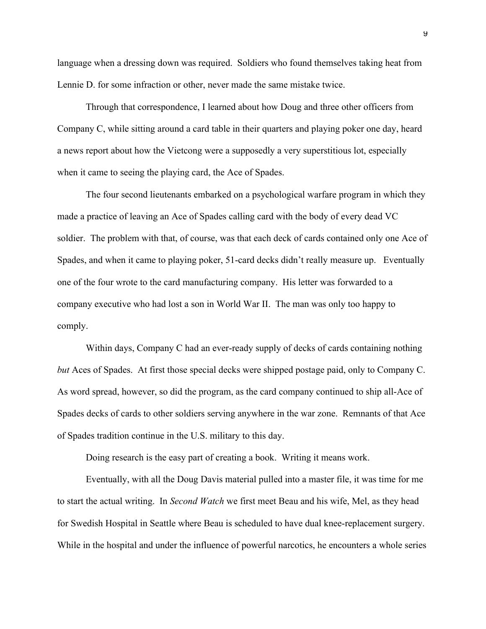language when a dressing down was required. Soldiers who found themselves taking heat from Lennie D. for some infraction or other, never made the same mistake twice.

 Through that correspondence, I learned about how Doug and three other officers from Company C, while sitting around a card table in their quarters and playing poker one day, heard a news report about how the Vietcong were a supposedly a very superstitious lot, especially when it came to seeing the playing card, the Ace of Spades.

 The four second lieutenants embarked on a psychological warfare program in which they made a practice of leaving an Ace of Spades calling card with the body of every dead VC soldier. The problem with that, of course, was that each deck of cards contained only one Ace of Spades, and when it came to playing poker, 51-card decks didn't really measure up. Eventually one of the four wrote to the card manufacturing company. His letter was forwarded to a company executive who had lost a son in World War II. The man was only too happy to comply.

 Within days, Company C had an ever-ready supply of decks of cards containing nothing *but* Aces of Spades. At first those special decks were shipped postage paid, only to Company C. As word spread, however, so did the program, as the card company continued to ship all-Ace of Spades decks of cards to other soldiers serving anywhere in the war zone. Remnants of that Ace of Spades tradition continue in the U.S. military to this day.

Doing research is the easy part of creating a book. Writing it means work.

 Eventually, with all the Doug Davis material pulled into a master file, it was time for me to start the actual writing. In *Second Watch* we first meet Beau and his wife, Mel, as they head for Swedish Hospital in Seattle where Beau is scheduled to have dual knee-replacement surgery. While in the hospital and under the influence of powerful narcotics, he encounters a whole series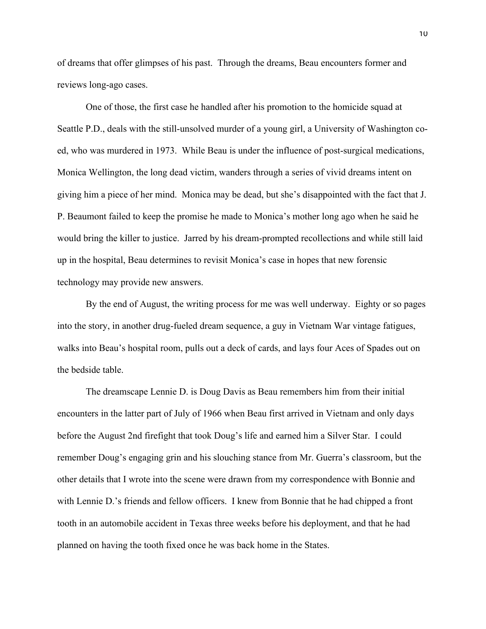of dreams that offer glimpses of his past. Through the dreams, Beau encounters former and reviews long-ago cases.

 One of those, the first case he handled after his promotion to the homicide squad at Seattle P.D., deals with the still-unsolved murder of a young girl, a University of Washington coed, who was murdered in 1973. While Beau is under the influence of post-surgical medications, Monica Wellington, the long dead victim, wanders through a series of vivid dreams intent on giving him a piece of her mind. Monica may be dead, but she's disappointed with the fact that J. P. Beaumont failed to keep the promise he made to Monica's mother long ago when he said he would bring the killer to justice. Jarred by his dream-prompted recollections and while still laid up in the hospital, Beau determines to revisit Monica's case in hopes that new forensic technology may provide new answers.

 By the end of August, the writing process for me was well underway. Eighty or so pages into the story, in another drug-fueled dream sequence, a guy in Vietnam War vintage fatigues, walks into Beau's hospital room, pulls out a deck of cards, and lays four Aces of Spades out on the bedside table.

 The dreamscape Lennie D. is Doug Davis as Beau remembers him from their initial encounters in the latter part of July of 1966 when Beau first arrived in Vietnam and only days before the August 2nd firefight that took Doug's life and earned him a Silver Star. I could remember Doug's engaging grin and his slouching stance from Mr. Guerra's classroom, but the other details that I wrote into the scene were drawn from my correspondence with Bonnie and with Lennie D.'s friends and fellow officers. I knew from Bonnie that he had chipped a front tooth in an automobile accident in Texas three weeks before his deployment, and that he had planned on having the tooth fixed once he was back home in the States.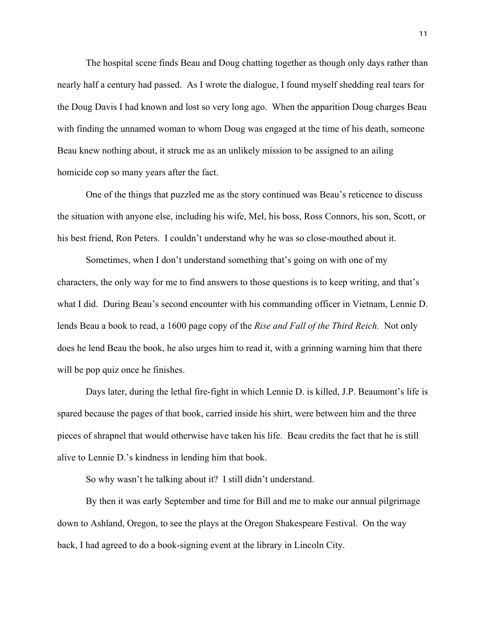The hospital scene finds Beau and Doug chatting together as though only days rather than nearly half a century had passed. As I wrote the dialogue, I found myself shedding real tears for the Doug Davis I had known and lost so very long ago. When the apparition Doug charges Beau with finding the unnamed woman to whom Doug was engaged at the time of his death, someone Beau knew nothing about, it struck me as an unlikely mission to be assigned to an ailing homicide cop so many years after the fact.

 One of the things that puzzled me as the story continued was Beau's reticence to discuss the situation with anyone else, including his wife, Mel, his boss, Ross Connors, his son, Scott, or his best friend, Ron Peters. I couldn't understand why he was so close-mouthed about it.

 Sometimes, when I don't understand something that's going on with one of my characters, the only way for me to find answers to those questions is to keep writing, and that's what I did. During Beau's second encounter with his commanding officer in Vietnam, Lennie D. lends Beau a book to read, a 1600 page copy of the *Rise and Fall of the Third Reich.* Not only does he lend Beau the book, he also urges him to read it, with a grinning warning him that there will be pop quiz once he finishes.

 Days later, during the lethal fire-fight in which Lennie D. is killed, J.P. Beaumont's life is spared because the pages of that book, carried inside his shirt, were between him and the three pieces of shrapnel that would otherwise have taken his life. Beau credits the fact that he is still alive to Lennie D.'s kindness in lending him that book.

So why wasn't he talking about it? I still didn't understand.

 By then it was early September and time for Bill and me to make our annual pilgrimage down to Ashland, Oregon, to see the plays at the Oregon Shakespeare Festival. On the way back, I had agreed to do a book-signing event at the library in Lincoln City.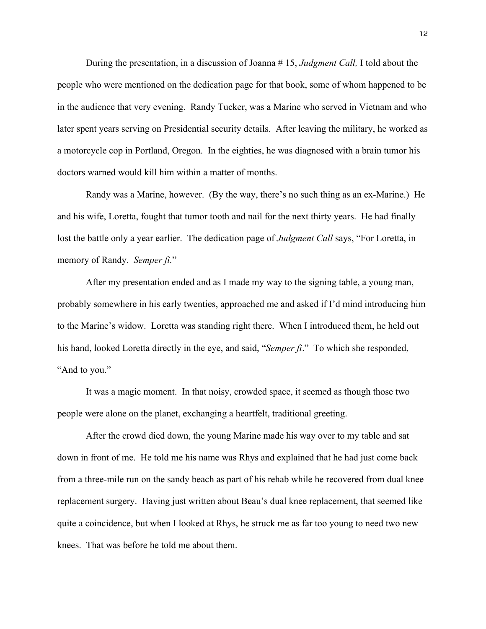During the presentation, in a discussion of Joanna # 15, *Judgment Call,* I told about the people who were mentioned on the dedication page for that book, some of whom happened to be in the audience that very evening. Randy Tucker, was a Marine who served in Vietnam and who later spent years serving on Presidential security details. After leaving the military, he worked as a motorcycle cop in Portland, Oregon. In the eighties, he was diagnosed with a brain tumor his doctors warned would kill him within a matter of months.

 Randy was a Marine, however. (By the way, there's no such thing as an ex-Marine.) He and his wife, Loretta, fought that tumor tooth and nail for the next thirty years. He had finally lost the battle only a year earlier. The dedication page of *Judgment Call* says, "For Loretta, in memory of Randy. *Semper fi.*"

 After my presentation ended and as I made my way to the signing table, a young man, probably somewhere in his early twenties, approached me and asked if I'd mind introducing him to the Marine's widow. Loretta was standing right there. When I introduced them, he held out his hand, looked Loretta directly in the eye, and said, "*Semper fi*." To which she responded, "And to you."

 It was a magic moment. In that noisy, crowded space, it seemed as though those two people were alone on the planet, exchanging a heartfelt, traditional greeting.

 After the crowd died down, the young Marine made his way over to my table and sat down in front of me. He told me his name was Rhys and explained that he had just come back from a three-mile run on the sandy beach as part of his rehab while he recovered from dual knee replacement surgery. Having just written about Beau's dual knee replacement, that seemed like quite a coincidence, but when I looked at Rhys, he struck me as far too young to need two new knees. That was before he told me about them.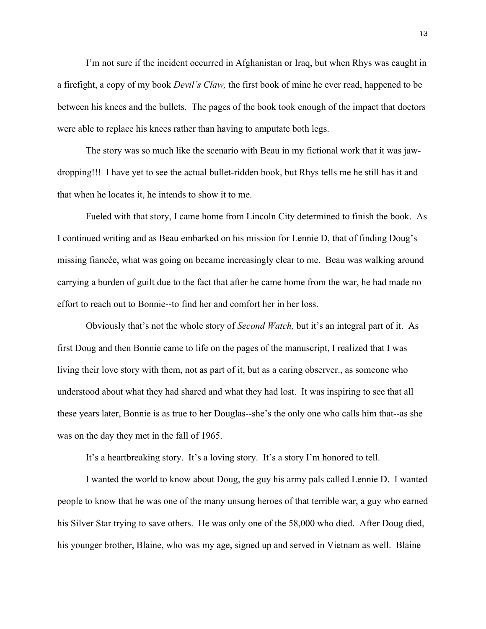I'm not sure if the incident occurred in Afghanistan or Iraq, but when Rhys was caught in a firefight, a copy of my book *Devil's Claw,* the first book of mine he ever read, happened to be between his knees and the bullets. The pages of the book took enough of the impact that doctors were able to replace his knees rather than having to amputate both legs.

 The story was so much like the scenario with Beau in my fictional work that it was jawdropping!!! I have yet to see the actual bullet-ridden book, but Rhys tells me he still has it and that when he locates it, he intends to show it to me.

 Fueled with that story, I came home from Lincoln City determined to finish the book. As I continued writing and as Beau embarked on his mission for Lennie D, that of finding Doug's missing fiancée, what was going on became increasingly clear to me. Beau was walking around carrying a burden of guilt due to the fact that after he came home from the war, he had made no effort to reach out to Bonnie--to find her and comfort her in her loss.

 Obviously that's not the whole story of *Second Watch,* but it's an integral part of it. As first Doug and then Bonnie came to life on the pages of the manuscript, I realized that I was living their love story with them, not as part of it, but as a caring observer., as someone who understood about what they had shared and what they had lost. It was inspiring to see that all these years later, Bonnie is as true to her Douglas--she's the only one who calls him that--as she was on the day they met in the fall of 1965.

It's a heartbreaking story. It's a loving story. It's a story I'm honored to tell.

 I wanted the world to know about Doug, the guy his army pals called Lennie D. I wanted people to know that he was one of the many unsung heroes of that terrible war, a guy who earned his Silver Star trying to save others. He was only one of the 58,000 who died. After Doug died, his younger brother, Blaine, who was my age, signed up and served in Vietnam as well. Blaine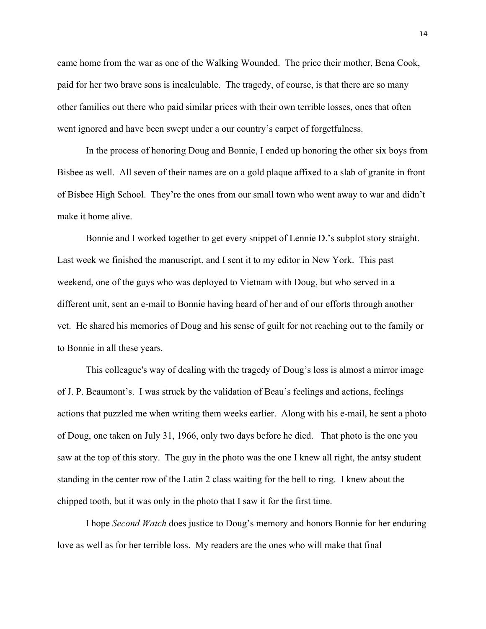came home from the war as one of the Walking Wounded. The price their mother, Bena Cook, paid for her two brave sons is incalculable. The tragedy, of course, is that there are so many other families out there who paid similar prices with their own terrible losses, ones that often went ignored and have been swept under a our country's carpet of forgetfulness.

 In the process of honoring Doug and Bonnie, I ended up honoring the other six boys from Bisbee as well. All seven of their names are on a gold plaque affixed to a slab of granite in front of Bisbee High School. They're the ones from our small town who went away to war and didn't make it home alive.

 Bonnie and I worked together to get every snippet of Lennie D.'s subplot story straight. Last week we finished the manuscript, and I sent it to my editor in New York. This past weekend, one of the guys who was deployed to Vietnam with Doug, but who served in a different unit, sent an e-mail to Bonnie having heard of her and of our efforts through another vet. He shared his memories of Doug and his sense of guilt for not reaching out to the family or to Bonnie in all these years.

 This colleague's way of dealing with the tragedy of Doug's loss is almost a mirror image of J. P. Beaumont's. I was struck by the validation of Beau's feelings and actions, feelings actions that puzzled me when writing them weeks earlier. Along with his e-mail, he sent a photo of Doug, one taken on July 31, 1966, only two days before he died. That photo is the one you saw at the top of this story. The guy in the photo was the one I knew all right, the antsy student standing in the center row of the Latin 2 class waiting for the bell to ring. I knew about the chipped tooth, but it was only in the photo that I saw it for the first time.

 I hope *Second Watch* does justice to Doug's memory and honors Bonnie for her enduring love as well as for her terrible loss. My readers are the ones who will make that final